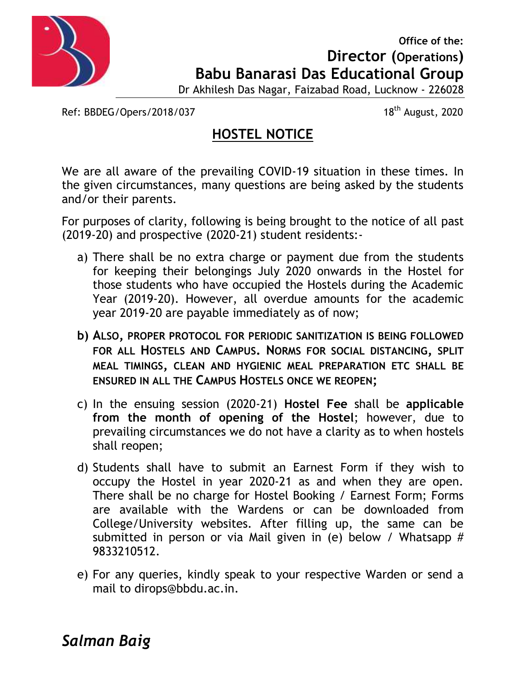

**Office of the: Office Director (Operations) Operations) Babu Banarasi Das Educational Group Das**

Dr Akhilesh Das Nagar, Faizabad Road, Lucknow - 226028

Ref: BBDEG/Opers/2018/037

18<sup>th</sup> August, 2020

## **HOSTEL NOTICE**

We are all aware of the prevailing COVID-19 situation in these times. In the given circumstances, many questions are being asked by the students and/or their parents. We are all aware of the prevailing COVID-19 situation in<br>the given circumstances, many questions are being asked<br>and/or their parents.<br>For purposes of clarity, following is being brought to the<br>(2019-20) and prospective (2

For purposes of clarity, following is being brought to the notice of all past (2019-20) and prospective (2020-21) student residents:-

- a) There shall be no extra charge or payment due from the students for keeping their belongings July 2020 onwards in the Hostel for those students who have occupied the Hostels during the Academic Year (2019-20). However, all overdue amounts for the academic year 2019-20 are payable immediately as of now; for keeping their belongings July 2020 onwards in the Hostel for<br>those students who have occupied the Hostels during the Academic<br>Year (2019-20). However, all overdue amounts for the academic<br>year 2019-20 are payable immed
- **b) ALSO, PROPER PROTOCOL FOR PERIODIC SANITIZATION IS BEING FOLLOWED FOR ALL HOSTELS AND CAMPUS. NORMS FOR SOCIAL DISTANCING, SPLIT <sup>A</sup>LSO PROPER SOCIAL MEAL TIMINGS, CLEAN AND HYGIENIC MEAL PREPARATION ETC SHALL BE ,MEALENSURED IN ALL THE CAMPUS HOSTELS ONCE WE REOPEN;**
- c) In the ensuing session (2020-21) **Hostel Fee** shall be **applicable** session be**from the month of opening of the Hostel**; however, due to prevailing circumstances we do not have a clarity as to when hostels shall reopen; from the month of opening of the Hostel; however, due to<br>prevailing circumstances we do not have a clarity as to when hostels<br>shall reopen;<br>d) Students shall have to submit an Earnest Form if they wish to
- occupy the Hostel in year 2020-21 as and when they are open. occupy the Hostel in year 2020-21 as and when they are open.<br>There shall be no charge for Hostel Booking / Earnest Form; Forms are available with the Wardens or can be downloaded from College/University websites. After filling up, the same can be submitted in person or via Mail given in (e) below / Whatsapp # 9833210512. are available with the Wardens or can be downloaded from<br>College/University websites. After filling up, the same can be<br>submitted in person or via Mail given in (e) below / Whatsapp #<br>9833210512.<br>For any queries, kindly sp
- e) For any queries, kindly speak to your respective Warden or send a mail to dirops@bbdu.ac.in.